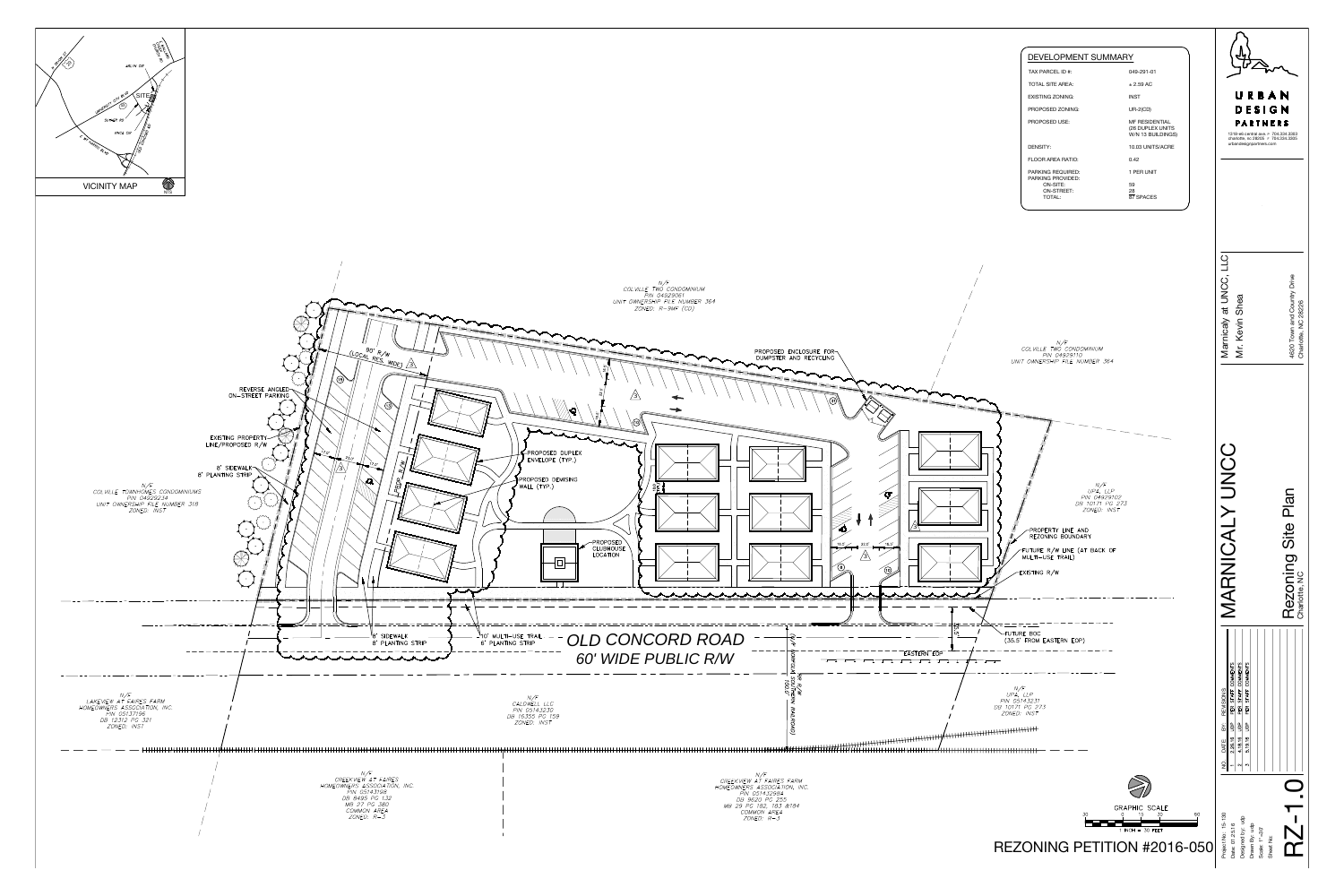